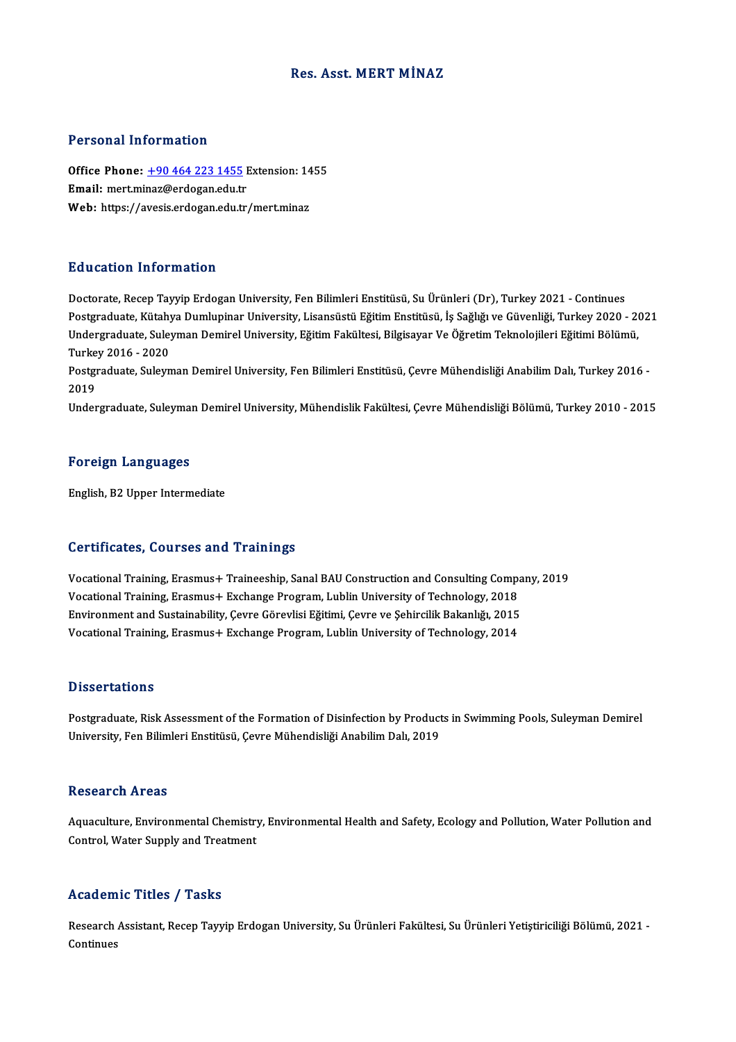# Res. Asst.MERTMİNAZ

# Personal Information

Personal Information<br>Office Phone: <u>+90 464 223 1455</u> Extension: 1455<br>Email: mert.minaz@erdegan.edu.tr Personal Information<br>Office Phone: <u>+90 464 223 1455</u> F<br>Email: mert.mi[naz@erdogan.edu.tr](tel:+90 464 223 1455) Office Phone: <u>+90 464 223 1455</u> Extension: 14<br>Email: mert.minaz@erdogan.edu.tr<br>Web: https://avesis.erdogan.edu.tr/mert.minaz Web: https://avesis.erdogan.edu.tr/mert.minaz<br>Education Information

Doctorate, Recep Tayyip Erdogan University, Fen Bilimleri Enstitüsü, Su Ürünleri (Dr), Turkey 2021 - Continues Pu u sustadı Timot inuston<br>Doctorate, Recep Tayyip Erdogan University, Fen Bilimleri Enstitüsü, Su Ürünleri (Dr), Turkey 2021 - Continues<br>Postgraduate, Kütahya Dumlupinar University, Lisansüstü Eğitim Enstitüsü, İş Sağlığı Doctorate, Recep Tayyip Erdogan University, Fen Bilimleri Enstitüsü, Su Ürünleri (Dr), Turkey 2021 - Continues<br>Postgraduate, Kütahya Dumlupinar University, Lisansüstü Eğitim Enstitüsü, İş Sağlığı ve Güvenliği, Turkey 2020 Postgraduate, Kütahy<br>Undergraduate, Suley<br>Turkey 2016 - 2020<br>Postgraduate, Suleyn Undergraduate, Suleyman Demirel University, Eğitim Fakültesi, Bilgisayar Ve Öğretim Teknolojileri Eğitimi Bölümü,<br>Turkey 2016 - 2020<br>Postgraduate, Suleyman Demirel University, Fen Bilimleri Enstitüsü, Çevre Mühendisliği An

Turke<br>Postgi<br>2019<br>Under Postgraduate, Suleyman Demirel University, Fen Bilimleri Enstitüsü, Çevre Mühendisliği Anabilim Dalı, Turkey 2016 -<br>2019<br>Undergraduate, Suleyman Demirel University, Mühendislik Fakültesi, Çevre Mühendisliği Bölümü, Turkey

Undergraduate, Suleyman Demirel University, Mühendislik Fakültesi, Çevre Mühendisliği Bölümü, Turkey 2010 - 2015<br>Foreign Languages

English,B2Upper Intermediate

# Certificates, Courses and Trainings

Certificates, Courses and Trainings<br>Vocational Training, Erasmus+ Traineeship, Sanal BAU Construction and Consulting Company, 2019<br>Vocational Training, Erasmus L. Exchange Program, Lublin University of Technology, 2019 Vocational Training, Erasmus+ Traineeship, Sanal BAU Construction and Consulting Comp.<br>Vocational Training, Erasmus+ Exchange Program, Lublin University of Technology, 2018<br>Environment and Sustainability, Ceure Côneulisi E Vocational Training, Erasmus+ Traineeship, Sanal BAU Construction and Consulting Compa<br>Vocational Training, Erasmus+ Exchange Program, Lublin University of Technology, 2018<br>Environment and Sustainability, Çevre Görevlisi E Vocational Training, Erasmus+ Exchange Program, Lublin University of Technology, 2018<br>Environment and Sustainability, Çevre Görevlisi Eğitimi, Çevre ve Şehircilik Bakanlığı, 2015<br>Vocational Training, Erasmus+ Exchange Prog Vocational Training, Erasmus+ Exchange Program, Lublin University of Technology, 2014<br>Dissertations

Postgraduate, Risk Assessment of the Formation of Disinfection by Products in Swimming Pools, Suleyman Demirel University, Fen Bilimleri Enstitüsü, Çevre Mühendisliği Anabilim Dalı, 2019

# **Research Areas**

Research Areas<br>Aquaculture, Environmental Chemistry, Environmental Health and Safety, Ecology and Pollution, Water Pollution and<br>Control Water Sunnly and Treatment Robour on Tri Cub<br>Aquaculture, Environmental Chemistry<br>Control, Water Supply and Treatment Control, Water Supply and Treatment<br>Academic Titles / Tasks

**Academic Titles / Tasks**<br>Research Assistant, Recep Tayyip Erdogan University, Su Ürünleri Fakültesi, Su Ürünleri Yetiştiriciliği Bölümü, 2021 -<br>Centinues neuaem<br>Research<br>Continues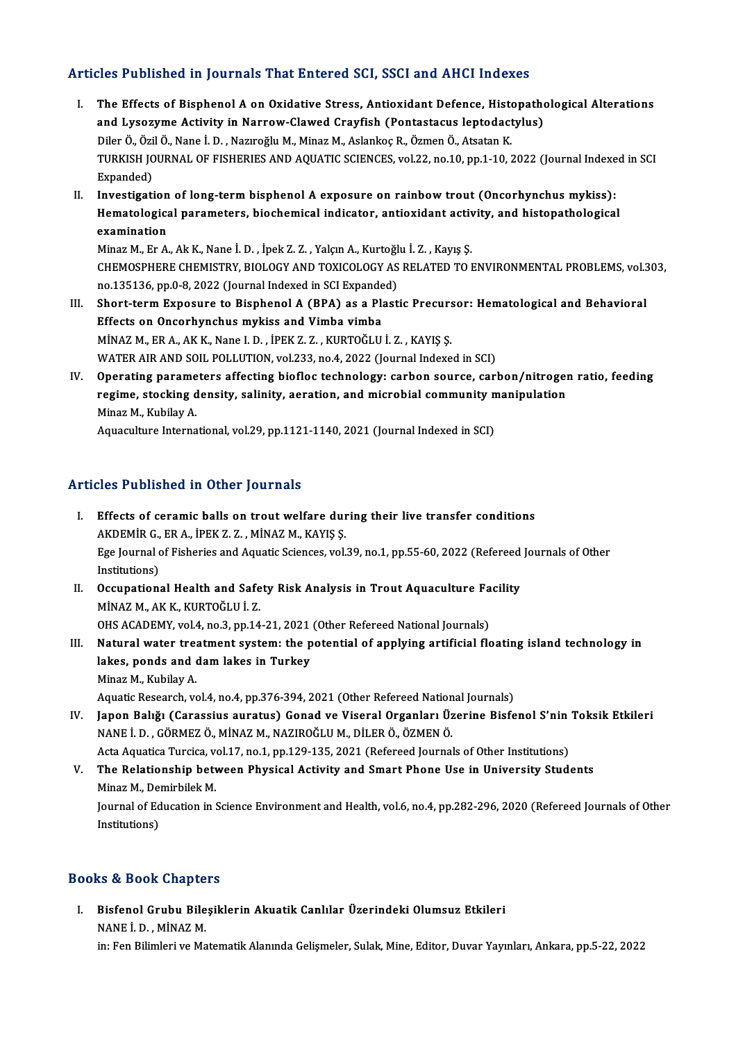# Articles Published in Journals That Entered SCI, SSCI and AHCI Indexes

- rticles Published in Journals That Entered SCI, SSCI and AHCI Indexes<br>I. The Effects of Bisphenol A on Oxidative Stress, Antioxidant Defence, Histopathological Alterations<br>and Usesume Activity in Narrow Claused Crayfish (B and Lysozyme Activity in Narrow-Clawed Crayfish (Pontastacus leptodactylus)<br>and Lysozyme Activity in Narrow-Clawed Crayfish (Pontastacus leptodactylus)<br>Dilar Ö. Özil Ö. Napa i D. Narroğlu M. Minaz M. Aslankac B. Özman Ö. A The Effects of Bisphenol A on Oxidative Stress, Antioxidant Defence, History<br>and Lysozyme Activity in Narrow-Clawed Crayfish (Pontastacus leptodact<br>Diler Ö., Özil Ö., Nane İ. D. , Nazıroğlu M., Minaz M., Aslankoç R., Özmen and Lysozyme Activity in Narrow-Clawed Crayfish (Pontastacus leptodactylus)<br>Diler Ö., Özil Ö., Nane İ. D. , Nazıroğlu M., Minaz M., Aslankoç R., Özmen Ö., Atsatan K.<br>TURKISH JOURNAL OF FISHERIES AND AQUATIC SCIENCES, vol.2 Diler Ö., Özi<br>TURKISH JO<br>Expanded)<br>Investiseti TURKISH JOURNAL OF FISHERIES AND AQUATIC SCIENCES, vol.22, no.10, pp.1-10, 2022 (Journal Indexe<br>Expanded)<br>II. Investigation of long-term bisphenol A exposure on rainbow trout (Oncorhynchus mykiss):<br>Hematelegies perspecters
- Expanded)<br>Investigation of long-term bisphenol A exposure on rainbow trout (Oncorhynchus mykiss):<br>Hematological parameters, biochemical indicator, antioxidant activity, and histopathological<br>exemination Investigation<br>Hematologica<br>examination<br>Minaz M. En A Hematological parameters, biochemical indicator, antioxidant activ<br>examination<br>Minaz M., Er A., Ak K., Nane İ. D. , İpek Z. Z. , Yalçın A., Kurtoğlu İ. Z. , Kayış Ş.<br>CUEMOSDUERE CUEMISTRY, RIQLOCY AND TOYICOLOCY AS RELATED

examination<br>Minaz M., Er A., Ak K., Nane İ. D. , İpek Z. Z. , Yalçın A., Kurtoğlu İ. Z. , Kayış Ş.<br>CHEMOSPHERE CHEMISTRY, BIOLOGY AND TOXICOLOGY AS RELATED TO ENVIRONMENTAL PROBLEMS, vol.303,<br>no.135136, pp.0-8, 2022 (Journ Minaz M., Er A., Ak K., Nane İ. D., İpek Z. Z., Yalçın A., Kurtoğlu İ. Z., Kayış Ş. CHEMOSPHERE CHEMISTRY, BIOLOGY AND TOXICOLOGY AS RELATED TO ENVIRONMENTAL PROBLEMS, vol.3<br>no.135136, pp.0-8, 2022 (Journal Indexed in SCI Expanded)<br>III. Short-term Exposure to Bisphenol A (BPA) as a Plastic Precursor: Hema

- no.135136, pp.0-8, 2022 (Journal Indexed in SCI Expande<br>Short-term Exposure to Bisphenol A (BPA) as a Pl.<br>Effects on Oncorhynchus mykiss and Vimba vimba<br>MiNAZ M. ER A AKK Nane LD. JPEK Z.Z., KUPTOČLU Short-term Exposure to Bisphenol A (BPA) as a Plastic Precurs<br>Effects on Oncorhynchus mykiss and Vimba vimba<br>MINAZ M., ER A., AK K., Nane I. D., İPEK Z. Z., KURTOĞLU İ. Z., KAYIŞ Ş.<br>WATER AIR AND SOU, ROLLITION vol 222 no Effects on Oncorhynchus mykiss and Vimba vimba<br>MİNAZ M., ER A., AK K., Nane I. D. , İPEK Z. Z. , KURTOĞLU İ. Z. , KAYIŞ Ş.<br>WATER AIR AND SOIL POLLUTION, vol.233, no.4, 2022 (Journal Indexed in SCI)
- IV. Operating parameters affecting biofloc technology: carbon source, carbon/nitrogen ratio, feeding WATER AIR AND SOIL POLLUTION, vol.233, no.4, 2022 (Journal Indexed in SCI)<br>Operating parameters affecting biofloc technology: carbon source, carbon/nitroger<br>regime, stocking density, salinity, aeration, and microbial commu **Operating parame<br>regime, stocking d<br>Minaz M., Kubilay A.<br>Aguagulture Interne** re<mark>gime, stocking density, salinity, aeration, and microbial community n</mark><br>Minaz M., Kubilay A.<br>Aquaculture International, vol.29, pp.1121-1140, 2021 (Journal Indexed in SCI)

Aquaculture International, vol.29, pp.1121-1140, 2021 (Journal Indexed in SCI)<br>Articles Published in Other Journals

- I. Effects of ceramic balls on trout welfare during their live transfer conditions ACUS TUDARAMENT UCART JULITARIS<br>AKDEMİR G., ER A., İPEK Z. Z., MİNAZ M., KAYIŞ Ş.<br>Ege Journal of Fisheries and Aquatic Sciences, vol. Ege Journal of Fisheries and Aquatic Sciences, vol.39, no.1, pp.55-60, 2022 (Refereed Journals of Other Institutions) AKDEMİR G.,<br>Ege Journal q<br>Institutions)<br>Occupations Ege Journal of Fisheries and Aquatic Sciences, vol.39, no.1, pp.55-60, 2022 (Refereed<br>Institutions)<br>II. Occupational Health and Safety Risk Analysis in Trout Aquaculture Facility<br>MINAZM AKK KUPTOČULI Z
- Institutions)<br>Occupational Health and Safe<br>MİNAZ M., AK K., KURTOĞLU İ. Z.<br>OUS ACADEMY vel 4 no 3 nn 14 Occupational Health and Safety Risk Analysis in Trout Aquaculture Fa<br>MİNAZ M., AK K., KURTOĞLU İ. Z.<br>OHS ACADEMY, vol.4, no.3, pp.14-21, 2021 (Other Refereed National Journals)<br>Natural water treatment system: the natential
- MINAZ M., AK K., KURTOĞLU İ. Z.<br>OHS ACADEMY, vol.4, no.3, pp.14-21, 2021 (Other Refereed National Journals)<br>III. Natural water treatment system: the potential of applying artificial floating island technology in<br>Jakes, non OHS ACADEMY, vol.4, no.3, pp.14-21, 2021<br>Natural water treatment system: the p<br>lakes, ponds and dam lakes in Turkey<br>Minaz M. Kubilay A Natural water trea<br>lakes, ponds and<br>Minaz M., Kubilay A.<br>Aquatic Pessearsh v la<mark>kes, ponds and dam lakes in Turkey</mark><br>Minaz M., Kubilay A.<br>Aquatic Research, vol.4, no.4, pp.376-394, 2021 (Other Refereed National Journals)<br>Jonen Beliži (Consesius aunatus) Conad yo Visonal Orsanları Üserine Bisfo

Minaz M., Kubilay A.<br>Aquatic Research, vol.4, no.4, pp.376-394, 2021 (Other Refereed National Journals)<br>IV. Japon Balığı (Carassius auratus) Gonad ve Viseral Organları Üzerine Bisfenol S'nin Toksik Etkileri<br>NANELD, GÖRMEZÖ Aquatic Research, vol.4, no.4, pp.376-394, 2021 (Other Refereed Nation<br>Japon Balığı (Carassius auratus) Gonad ve Viseral Organları Üz<br>NANE İ. D. , GÖRMEZ Ö., MİNAZ M., NAZIROĞLU M., DİLER Ö., ÖZMEN Ö.<br>Asta Asuatisa Tursisa Japon Balığı (Carassius auratus) Gonad ve Viseral Organları Üzerine Bisfenol S'nin<br>NANE İ. D. , GÖRMEZ Ö., MİNAZ M., NAZIROĞLU M., DİLER Ö., ÖZMEN Ö.<br>Acta Aquatica Turcica, vol.17, no.1, pp.129-135, 2021 (Refereed Journals

Acta Aquatica Turcica, vol.17, no.1, pp.129-135, 2021 (Refereed Journals of Other Institutions)

NANE İ. D. , GÖRMEZ Ö., MİNAZ M., NAZIROĞLU M., DİLER Ö., ÖZMEN Ö.<br>Acta Aquatica Turcica, vol.17, no.1, pp.129-135, 2021 (Refereed Journals of Other Institutions)<br>V. The Relationship between Physical Activity and Smart The Relationship between Physical Activity and Smart Phone Use in University Students<br>Minaz M., Demirbilek M.<br>Journal of Education in Science Environment and Health, vol.6, no.4, pp.282-296, 2020 (Refereed Journals of Othe

Minaz M., Dei<br>Journal of Ed<br>Institutions)

# Institutions)<br>Books & Book Chapters

OOks & Book Chapters<br>I. Bisfenol Grubu Bileşiklerin Akuatik Canlılar Üzerindeki Olumsuz Etkileri<br>NANEİ D. MİNAZM NANE İ.D., MİNAZM.<br>NANE İ.D., MİNAZM.<br>İn: Een Bilimleri ve Ma NANE İ. D. , MİNAZ M.<br>in: Fen Bilimleri ve Matematik Alanında Gelişmeler, Sulak, Mine, Editor, Duvar Yayınları, Ankara, pp.5-22, 2022